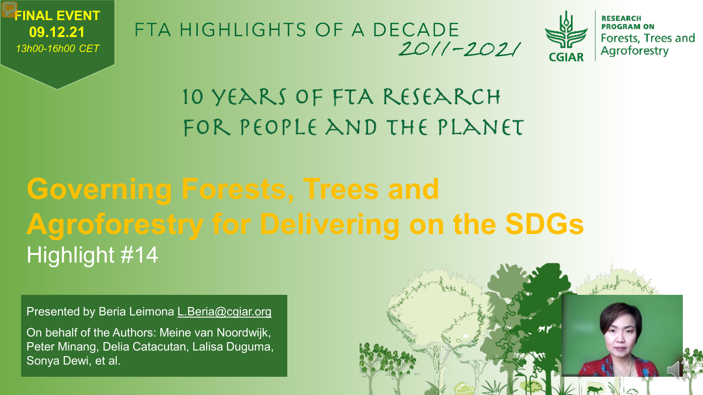

FTA HIGHLIGHTS OF A DECADE  $2011 - 2021$ 



### 10 YEARS OF FTA RESEARCH FOR PEOPLE AND THE PLANET

## **Governing Forests, Trees and Agroforestry for Delivering on the SDGs** Highlight #14

Presented by Beria Leimona [L.Beria@cgiar.org](mailto:L.Beria@cgiar.org)

On behalf of the Authors: Meine van Noordwijk, Peter Minang, Delia Catacutan, Lalisa Duguma, Sonya Dewi, et al.

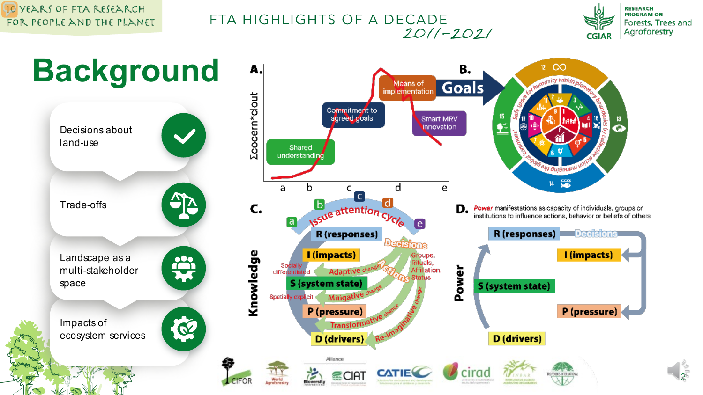#### 10 YEARS OF FTA RESEARCH FOR PEOPLE AND THE PLANET

### FTA HIGHLIGHTS OF A DECADE  $2011 - 2021$



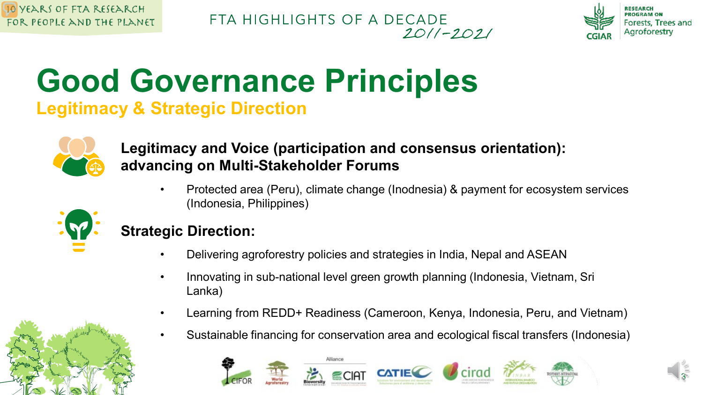FTA HIGHLIGHTS OF A DECADE  $2011 - 2021$ 



3

## **Good Governance Principles Legitimacy & Strategic Direction**



### **Legitimacy and Voice (participation and consensus orientation): advancing on Multi-Stakeholder Forums**

• Protected area (Peru), climate change (Inodnesia) & payment for ecosystem services (Indonesia, Philippines)



### **Strategic Direction:**

- Delivering agroforestry policies and strategies in India, Nepal and ASEAN
- Innovating in sub-national level green growth planning (Indonesia, Vietnam, Sri Lanka)
- Learning from REDD+ Readiness (Cameroon, Kenya, Indonesia, Peru, and Vietnam)
- Sustainable financing for conservation area and ecological fiscal transfers (Indonesia)



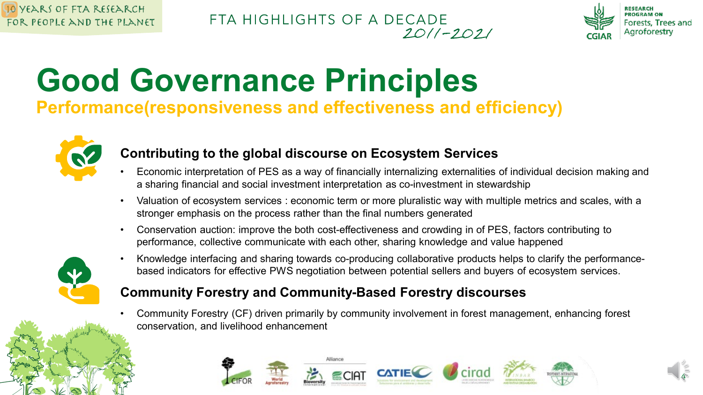### FTA HIGHLIGHTS OF A DECADE  $2011 - 2021$



4

# **Good Governance Principles**

**Performance(responsiveness and effectiveness and efficiency)**



### **Contributing to the global discourse on Ecosystem Services**

- Economic interpretation of PES as a way of financially internalizing externalities of individual decision making and a sharing financial and social investment interpretation as co-investment in stewardship
- Valuation of ecosystem services : economic term or more pluralistic way with multiple metrics and scales, with a stronger emphasis on the process rather than the final numbers generated
- Conservation auction: improve the both cost-effectiveness and crowding in of PES, factors contributing to performance, collective communicate with each other, sharing knowledge and value happened



• Knowledge interfacing and sharing towards co-producing collaborative products helps to clarify the performancebased indicators for effective PWS negotiation between potential sellers and buyers of ecosystem services.

### **Community Forestry and Community-Based Forestry discourses**

• Community Forestry (CF) driven primarily by community involvement in forest management, enhancing forest conservation, and livelihood enhancement

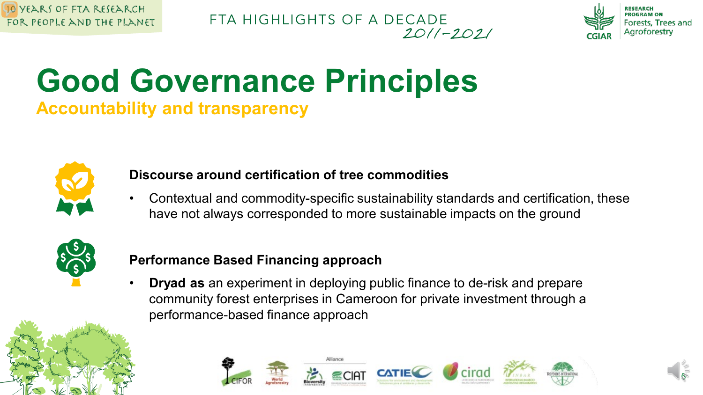



## **Good Governance Principles Accountability and transparency**



### **Discourse around certification of tree commodities**

• Contextual and commodity-specific sustainability standards and certification, these have not always corresponded to more sustainable impacts on the ground



### **Performance Based Financing approach**

• **Dryad as** an experiment in deploying public finance to de-risk and prepare community forest enterprises in Cameroon for private investment through a performance-based finance approach